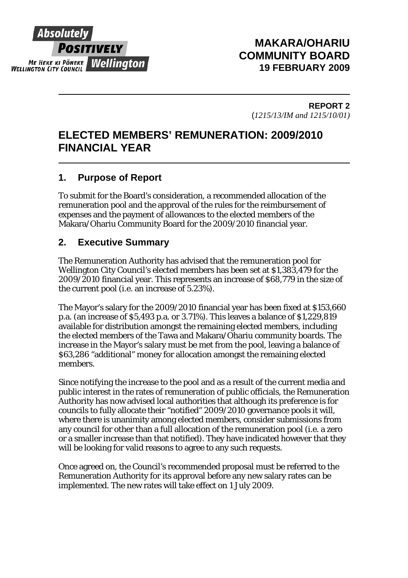

# **MAKARA/OHARIU COMMUNITY BOARD 19 FEBRUARY 2009**

**REPORT 2**  (*1215/13/IM and 1215/10/01)* 

# **ELECTED MEMBERS' REMUNERATION: 2009/2010 FINANCIAL YEAR**

# **1. Purpose of Report**

To submit for the Board's consideration, a recommended allocation of the remuneration pool and the approval of the rules for the reimbursement of expenses and the payment of allowances to the elected members of the Makara/Ohariu Community Board for the 2009/2010 financial year.

# **2. Executive Summary**

The Remuneration Authority has advised that the remuneration pool for Wellington City Council's elected members has been set at \$1,383,479 for the 2009/2010 financial year. This represents an increase of \$68,779 in the size of the current pool (i.e. an increase of 5.23%).

The Mayor's salary for the 2009/2010 financial year has been fixed at \$153,660 p.a. (an increase of \$5,493 p.a. or 3.71%). This leaves a balance of \$1,229,819 available for distribution amongst the remaining elected members, including the elected members of the Tawa and Makara/Ohariu community boards. The increase in the Mayor's salary must be met from the pool, leaving a balance of \$63,286 "additional" money for allocation amongst the remaining elected members.

Since notifying the increase to the pool and as a result of the current media and public interest in the rates of remuneration of public officials, the Remuneration Authority has now advised local authorities that although its preference is for councils to fully allocate their "notified" 2009/2010 governance pools it will, where there is unanimity among elected members, consider submissions from any council for other than a full allocation of the remuneration pool (i.e. a zero or a smaller increase than that notified). They have indicated however that they will be looking for valid reasons to agree to any such requests.

Once agreed on, the Council's recommended proposal must be referred to the Remuneration Authority for its approval before any new salary rates can be implemented. The new rates will take effect on 1 July 2009.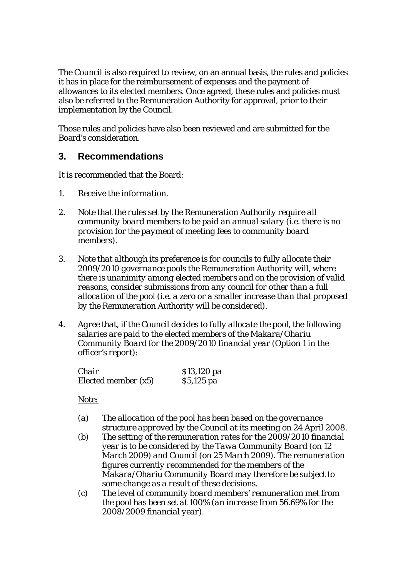The Council is also required to review, on an annual basis, the rules and policies it has in place for the reimbursement of expenses and the payment of allowances to its elected members. Once agreed, these rules and policies must also be referred to the Remuneration Authority for approval, prior to their implementation by the Council.

Those rules and policies have also been reviewed and are submitted for the Board's consideration.

# **3. Recommendations**

It is recommended that the Board:

- *1. Receive the information.*
- *2. Note that the rules set by the Remuneration Authority require all community board members to be paid an annual salary (i.e. there is no provision for the payment of meeting fees to community board members).*
- *3. Note that although its preference is for councils to fully allocate their 2009/2010 governance pools the Remuneration Authority will, where there is unanimity among elected members and on the provision of valid reasons, consider submissions from any council for other than a full allocation of the pool (i.e. a zero or a smaller increase than that proposed by the Remuneration Authority will be considered).*
- *4. Agree that, if the Council decides to fully allocate the pool, the following salaries are paid to the elected members of the Makara/Ohariu Community Board for the 2009/2010 financial year (Option 1 in the officer's report):*

| Chair               | \$13,120 pa       |
|---------------------|-------------------|
| Elected member (x5) | <i>\$5,125 pa</i> |

*Note:* 

- *(a) The allocation of the pool has been based on the governance structure approved by the Council at its meeting on 24 April 2008.*
- *(b) The setting of the remuneration rates for the 2009/2010 financial year is to be considered by the Tawa Community Board (on 12 March 2009) and Council (on 25 March 2009). The remuneration figures currently recommended for the members of the Makara/Ohariu Community Board may therefore be subject to some change as a result of these decisions.*
- *(c) The level of community board members' remuneration met from the pool has been set at 100% (an increase from 56.69% for the 2008/2009 financial year).*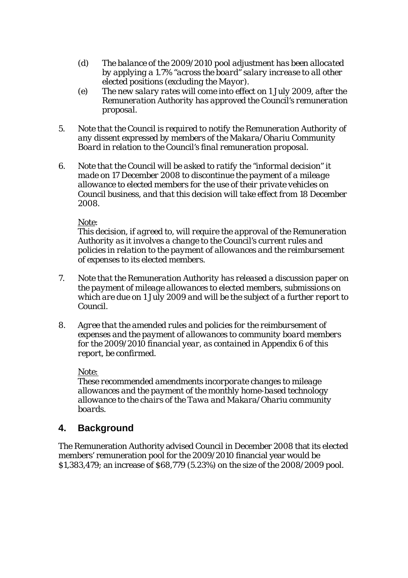- *(d) The balance of the 2009/2010 pool adjustment has been allocated by applying a 1.7% "across the board" salary increase to all other elected positions (excluding the Mayor).*
- *(e) The new salary rates will come into effect on 1 July 2009, after the Remuneration Authority has approved the Council's remuneration proposal.*
- *5. Note that the Council is required to notify the Remuneration Authority of any dissent expressed by members of the Makara/Ohariu Community Board in relation to the Council's final remuneration proposal.*
- *6. Note that the Council will be asked to ratify the "informal decision" it made on 17 December 2008 to discontinue the payment of a mileage allowance to elected members for the use of their private vehicles on Council business, and that this decision will take effect from 18 December 2008.*

#### *Note:*

*This decision, if agreed to, will require the approval of the Remuneration Authority as it involves a change to the Council's current rules and policies in relation to the payment of allowances and the reimbursement of expenses to its elected members.* 

- *7. Note that the Remuneration Authority has released a discussion paper on the payment of mileage allowances to elected members, submissions on which are due on 1 July 2009 and will be the subject of a further report to Council.*
- *8. Agree that the amended rules and policies for the reimbursement of expenses and the payment of allowances to community board members for the 2009/2010 financial year, as contained in Appendix 6 of this report, be confirmed.*

#### *Note:*

*These recommended amendments incorporate changes to mileage allowances and the payment of the monthly home-based technology allowance to the chairs of the Tawa and Makara/Ohariu community boards.* 

# **4. Background**

The Remuneration Authority advised Council in December 2008 that its elected members' remuneration pool for the 2009/2010 financial year would be \$1,383,479; an increase of \$68,779 (5.23%) on the size of the 2008/2009 pool.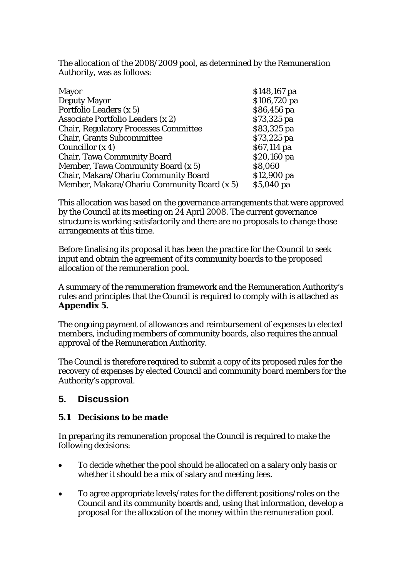The allocation of the 2008/2009 pool, as determined by the Remuneration Authority, was as follows:

| <b>Mayor</b>                                 | \$148,167 pa |
|----------------------------------------------|--------------|
| <b>Deputy Mayor</b>                          | \$106,720 pa |
| Portfolio Leaders (x 5)                      | \$86,456 pa  |
| Associate Portfolio Leaders (x 2)            | \$73,325 pa  |
| <b>Chair, Regulatory Processes Committee</b> | \$83,325 pa  |
| <b>Chair, Grants Subcommittee</b>            | \$73,225 pa  |
| Councillor $(x 4)$                           | \$67,114 pa  |
| <b>Chair, Tawa Community Board</b>           | \$20,160 pa  |
| Member, Tawa Community Board (x 5)           | \$8,060      |
| Chair, Makara/Ohariu Community Board         | \$12,900 pa  |
| Member, Makara/Ohariu Community Board (x 5)  | \$5,040 pa   |

This allocation was based on the governance arrangements that were approved by the Council at its meeting on 24 April 2008. The current governance structure is working satisfactorily and there are no proposals to change those arrangements at this time.

Before finalising its proposal it has been the practice for the Council to seek input and obtain the agreement of its community boards to the proposed allocation of the remuneration pool.

A summary of the remuneration framework and the Remuneration Authority's rules and principles that the Council is required to comply with is attached as **Appendix 5.**

The ongoing payment of allowances and reimbursement of expenses to elected members, including members of community boards, also requires the annual approval of the Remuneration Authority.

The Council is therefore required to submit a copy of its proposed rules for the recovery of expenses by elected Council and community board members for the Authority's approval.

# **5. Discussion**

### *5.1 Decisions to be made*

In preparing its remuneration proposal the Council is required to make the following decisions:

- To decide whether the pool should be allocated on a salary only basis or whether it should be a mix of salary and meeting fees.
- To agree appropriate levels/rates for the different positions/roles on the Council and its community boards and, using that information, develop a proposal for the allocation of the money within the remuneration pool.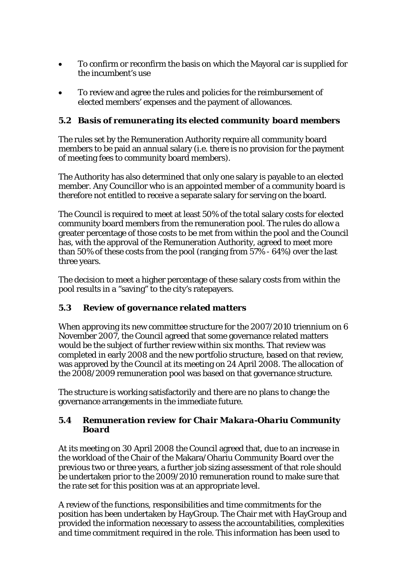- To confirm or reconfirm the basis on which the Mayoral car is supplied for the incumbent's use
- To review and agree the rules and policies for the reimbursement of elected members' expenses and the payment of allowances.

# *5.2 Basis of remunerating its elected community board members*

The rules set by the Remuneration Authority require all community board members to be paid an annual salary (i.e. there is no provision for the payment of meeting fees to community board members).

The Authority has also determined that only one salary is payable to an elected member. Any Councillor who is an appointed member of a community board is therefore not entitled to receive a separate salary for serving on the board.

The Council is required to meet at least 50% of the total salary costs for elected community board members from the remuneration pool. The rules do allow a greater percentage of those costs to be met from within the pool and the Council has, with the approval of the Remuneration Authority, agreed to meet more than 50% of these costs from the pool (ranging from 57% - 64%) over the last three years.

The decision to meet a higher percentage of these salary costs from within the pool results in a "saving" to the city's ratepayers.

# *5.3 Review of governance related matters*

When approving its new committee structure for the 2007/2010 triennium on 6 November 2007, the Council agreed that some governance related matters would be the subject of further review within six months. That review was completed in early 2008 and the new portfolio structure, based on that review, was approved by the Council at its meeting on 24 April 2008. The allocation of the 2008/2009 remuneration pool was based on that governance structure.

The structure is working satisfactorily and there are no plans to change the governance arrangements in the immediate future.

### *5.4 Remuneration review for Chair Makara-Ohariu Community Board*

At its meeting on 30 April 2008 the Council agreed that, due to an increase in the workload of the Chair of the Makara/Ohariu Community Board over the previous two or three years, a further job sizing assessment of that role should be undertaken prior to the 2009/2010 remuneration round to make sure that the rate set for this position was at an appropriate level.

A review of the functions, responsibilities and time commitments for the position has been undertaken by HayGroup. The Chair met with HayGroup and provided the information necessary to assess the accountabilities, complexities and time commitment required in the role. This information has been used to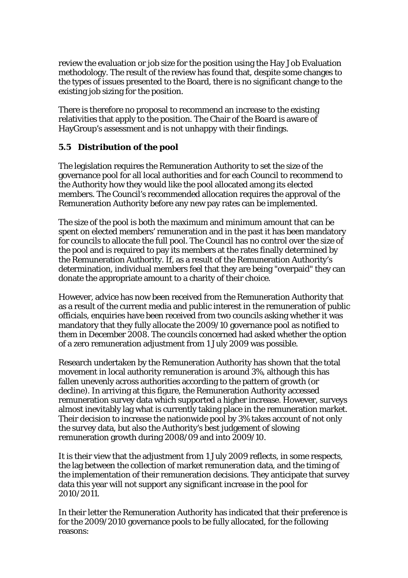review the evaluation or job size for the position using the Hay Job Evaluation methodology. The result of the review has found that, despite some changes to the types of issues presented to the Board, there is no significant change to the existing job sizing for the position.

There is therefore no proposal to recommend an increase to the existing relativities that apply to the position. The Chair of the Board is aware of HayGroup's assessment and is not unhappy with their findings.

# *5.5 Distribution of the pool*

The legislation requires the Remuneration Authority to set the size of the governance pool for all local authorities and for each Council to recommend to the Authority how they would like the pool allocated among its elected members. The Council's recommended allocation requires the approval of the Remuneration Authority before any new pay rates can be implemented.

The size of the pool is both the maximum and minimum amount that can be spent on elected members' remuneration and in the past it has been mandatory for councils to allocate the full pool. The Council has no control over the size of the pool and is required to pay its members at the rates finally determined by the Remuneration Authority. If, as a result of the Remuneration Authority's determination, individual members feel that they are being "overpaid" they can donate the appropriate amount to a charity of their choice.

However, advice has now been received from the Remuneration Authority that as a result of the current media and public interest in the remuneration of public officials, enquiries have been received from two councils asking whether it was mandatory that they fully allocate the 2009/10 governance pool as notified to them in December 2008. The councils concerned had asked whether the option of a zero remuneration adjustment from 1 July 2009 was possible.

Research undertaken by the Remuneration Authority has shown that the total movement in local authority remuneration is around 3%, although this has fallen unevenly across authorities according to the pattern of growth (or decline). In arriving at this figure, the Remuneration Authority accessed remuneration survey data which supported a higher increase. However, surveys almost inevitably lag what is currently taking place in the remuneration market. Their decision to increase the nationwide pool by 3% takes account of not only the survey data, but also the Authority's best judgement of slowing remuneration growth during 2008/09 and into 2009/10.

It is their view that the adjustment from 1 July 2009 reflects, in some respects, the lag between the collection of market remuneration data, and the timing of the implementation of their remuneration decisions. They anticipate that survey data this year will not support any significant increase in the pool for 2010/2011.

In their letter the Remuneration Authority has indicated that their preference is for the 2009/2010 governance pools to be fully allocated, for the following reasons: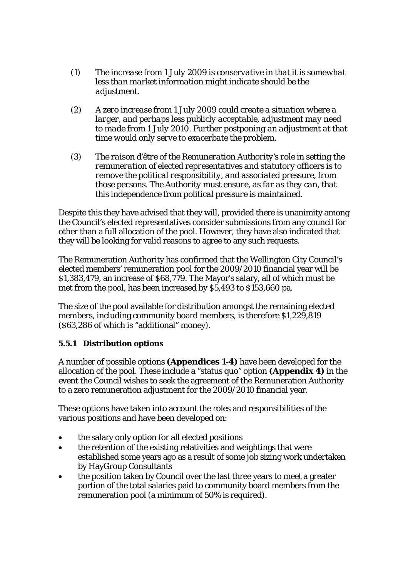- *(1) The increase from 1 July 2009 is conservative in that it is somewhat less than market information might indicate should be the adjustment.*
- *(2) A zero increase from 1 July 2009 could create a situation where a larger, and perhaps less publicly acceptable, adjustment may need to made from 1 July 2010. Further postponing an adjustment at that time would only serve to exacerbate the problem.*
- *(3) The raison d'être of the Remuneration Authority's role in setting the remuneration of elected representatives and statutory officers is to remove the political responsibility, and associated pressure, from those persons. The Authority must ensure, as far as they can, that this independence from political pressure is maintained.*

Despite this they have advised that they will, provided there is unanimity among the Council's elected representatives consider submissions from any council for other than a full allocation of the pool. However, they have also indicated that they will be looking for valid reasons to agree to any such requests.

The Remuneration Authority has confirmed that the Wellington City Council's elected members' remuneration pool for the 2009/2010 financial year will be \$1,383,479, an increase of \$68,779. The Mayor's salary, all of which must be met from the pool, has been increased by \$5,493 to \$153,660 pa.

The size of the pool available for distribution amongst the remaining elected members, including community board members, is therefore \$1,229,819 (\$63,286 of which is "additional" money).

### *5.5.1 Distribution options*

A number of possible options **(Appendices 1-4)** have been developed for the allocation of the pool. These include a "status quo" option **(Appendix 4)** in the event the Council wishes to seek the agreement of the Remuneration Authority to a zero remuneration adjustment for the 2009/2010 financial year.

These options have taken into account the roles and responsibilities of the various positions and have been developed on:

- the salary only option for all elected positions
- the retention of the existing relativities and weightings that were established some years ago as a result of some job sizing work undertaken by HayGroup Consultants
- the position taken by Council over the last three years to meet a greater portion of the total salaries paid to community board members from the remuneration pool (a minimum of 50% is required).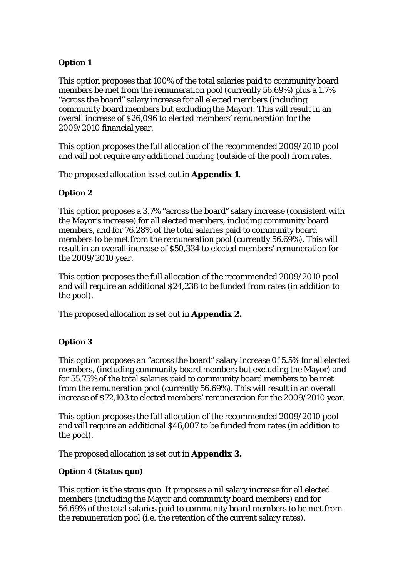### *Option 1*

This option proposes that 100% of the total salaries paid to community board members be met from the remuneration pool (currently 56.69%) plus a 1.7% "across the board" salary increase for all elected members (including community board members but excluding the Mayor). This will result in an overall increase of \$26,096 to elected members' remuneration for the 2009/2010 financial year.

This option proposes the full allocation of the recommended 2009/2010 pool and will not require any additional funding (outside of the pool) from rates.

The proposed allocation is set out in **Appendix 1.**

#### *Option 2*

This option proposes a 3.7% "across the board" salary increase (consistent with the Mayor's increase) for all elected members, including community board members, and for 76.28% of the total salaries paid to community board members to be met from the remuneration pool (currently 56.69%). This will result in an overall increase of \$50,334 to elected members' remuneration for the 2009/2010 year.

This option proposes the full allocation of the recommended 2009/2010 pool and will require an additional \$24,238 to be funded from rates (in addition to the pool).

The proposed allocation is set out in **Appendix 2.**

### *Option 3*

This option proposes an "across the board" salary increase 0f 5.5% for all elected members, (including community board members but excluding the Mayor) and for 55.75% of the total salaries paid to community board members to be met from the remuneration pool (currently 56.69%). This will result in an overall increase of \$72,103 to elected members' remuneration for the 2009/2010 year.

This option proposes the full allocation of the recommended 2009/2010 pool and will require an additional \$46,007 to be funded from rates (in addition to the pool).

The proposed allocation is set out in **Appendix 3.**

#### *Option 4 (Status quo)*

This option is the status quo. It proposes a nil salary increase for all elected members (including the Mayor and community board members) and for 56.69% of the total salaries paid to community board members to be met from the remuneration pool (i.e. the retention of the current salary rates).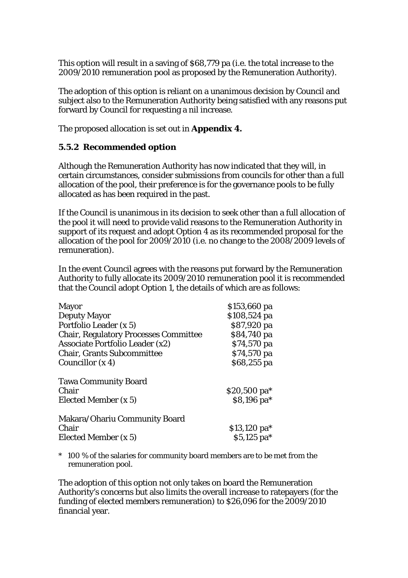This option will result in a saving of \$68,779 pa (i.e. the total increase to the 2009/2010 remuneration pool as proposed by the Remuneration Authority).

The adoption of this option is reliant on a unanimous decision by Council and subject also to the Remuneration Authority being satisfied with any reasons put forward by Council for requesting a nil increase.

The proposed allocation is set out in **Appendix 4.** 

# *5.5.2 Recommended option*

Although the Remuneration Authority has now indicated that they will, in certain circumstances, consider submissions from councils for other than a full allocation of the pool, their preference is for the governance pools to be fully allocated as has been required in the past.

If the Council is unanimous in its decision to seek other than a full allocation of the pool it will need to provide valid reasons to the Remuneration Authority in support of its request and adopt Option 4 as its recommended proposal for the allocation of the pool for 2009/2010 (i.e. no change to the 2008/2009 levels of remuneration).

In the event Council agrees with the reasons put forward by the Remuneration Authority to fully allocate its 2009/2010 remuneration pool it is recommended that the Council adopt Option 1, the details of which are as follows:

| <b>Mayor</b>                                 | \$153,660 pa  |
|----------------------------------------------|---------------|
| <b>Deputy Mayor</b>                          | \$108,524 pa  |
| Portfolio Leader (x 5)                       | \$87,920 pa   |
| <b>Chair, Regulatory Processes Committee</b> | \$84,740 pa   |
| <b>Associate Portfolio Leader (x2)</b>       | \$74,570 pa   |
| <b>Chair, Grants Subcommittee</b>            | \$74,570 pa   |
| Councillor $(x 4)$                           | \$68,255 pa   |
| <b>Tawa Community Board</b>                  |               |
| Chair                                        | \$20,500 pa*  |
| Elected Member (x 5)                         | \$8,196 pa*   |
| Makara/Ohariu Community Board                |               |
| Chair                                        | $$13,120$ pa* |
| Elected Member (x 5)                         | $$5,125$ pa*  |

\* 100 % of the salaries for community board members are to be met from the remuneration pool.

The adoption of this option not only takes on board the Remuneration Authority's concerns but also limits the overall increase to ratepayers (for the funding of elected members remuneration) to \$26,096 for the 2009/2010 financial year.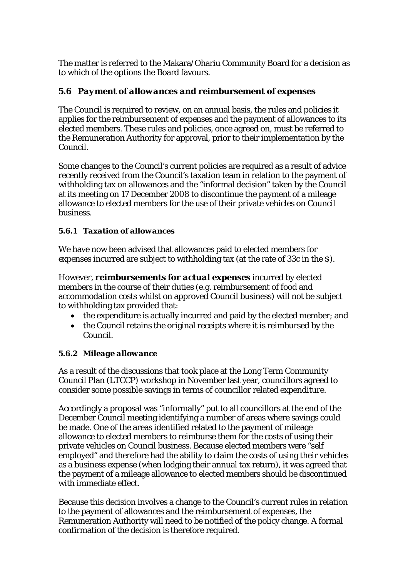The matter is referred to the Makara/Ohariu Community Board for a decision as to which of the options the Board favours.

# *5.6 Payment of allowances and reimbursement of expenses*

The Council is required to review, on an annual basis, the rules and policies it applies for the reimbursement of expenses and the payment of allowances to its elected members. These rules and policies, once agreed on, must be referred to the Remuneration Authority for approval, prior to their implementation by the Council.

Some changes to the Council's current policies are required as a result of advice recently received from the Council's taxation team in relation to the payment of withholding tax on allowances and the "informal decision" taken by the Council at its meeting on 17 December 2008 to discontinue the payment of a mileage allowance to elected members for the use of their private vehicles on Council business.

### *5.6.1 Taxation of allowances*

We have now been advised that allowances paid to elected members for expenses incurred are subject to withholding tax (at the rate of 33c in the \$).

However, *reimbursements for actual expenses* incurred by elected members in the course of their duties (e.g. reimbursement of food and accommodation costs whilst on approved Council business) will not be subject to withholding tax provided that:

- the expenditure is actually incurred and paid by the elected member; and
- the Council retains the original receipts where it is reimbursed by the Council.

#### *5.6.2 Mileage allowance*

As a result of the discussions that took place at the Long Term Community Council Plan (LTCCP) workshop in November last year, councillors agreed to consider some possible savings in terms of councillor related expenditure.

Accordingly a proposal was "informally" put to all councillors at the end of the December Council meeting identifying a number of areas where savings could be made. One of the areas identified related to the payment of mileage allowance to elected members to reimburse them for the costs of using their private vehicles on Council business. Because elected members were "self employed" and therefore had the ability to claim the costs of using their vehicles as a business expense (when lodging their annual tax return), it was agreed that the payment of a mileage allowance to elected members should be discontinued with immediate effect.

Because this decision involves a change to the Council's current rules in relation to the payment of allowances and the reimbursement of expenses, the Remuneration Authority will need to be notified of the policy change. A formal confirmation of the decision is therefore required.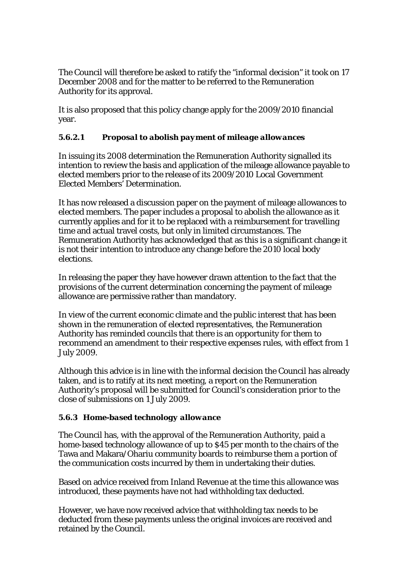The Council will therefore be asked to ratify the "informal decision" it took on 17 December 2008 and for the matter to be referred to the Remuneration Authority for its approval.

It is also proposed that this policy change apply for the 2009/2010 financial year.

### *5.6.2.1 Proposal to abolish payment of mileage allowances*

In issuing its 2008 determination the Remuneration Authority signalled its intention to review the basis and application of the mileage allowance payable to elected members prior to the release of its 2009/2010 Local Government Elected Members' Determination.

It has now released a discussion paper on the payment of mileage allowances to elected members. The paper includes a proposal to abolish the allowance as it currently applies and for it to be replaced with a reimbursement for travelling time and actual travel costs, but only in limited circumstances. The Remuneration Authority has acknowledged that as this is a significant change it is not their intention to introduce any change before the 2010 local body elections.

In releasing the paper they have however drawn attention to the fact that the provisions of the current determination concerning the payment of mileage allowance are permissive rather than mandatory.

In view of the current economic climate and the public interest that has been shown in the remuneration of elected representatives, the Remuneration Authority has reminded councils that there is an opportunity for them to recommend an amendment to their respective expenses rules, with effect from 1 July 2009.

Although this advice is in line with the informal decision the Council has already taken, and is to ratify at its next meeting, a report on the Remuneration Authority's proposal will be submitted for Council's consideration prior to the close of submissions on 1 July 2009.

### *5.6.3 Home-based technology allowance*

The Council has, with the approval of the Remuneration Authority, paid a home-based technology allowance of up to \$45 per month to the chairs of the Tawa and Makara/Ohariu community boards to reimburse them a portion of the communication costs incurred by them in undertaking their duties.

Based on advice received from Inland Revenue at the time this allowance was introduced, these payments have not had withholding tax deducted.

However, we have now received advice that withholding tax needs to be deducted from these payments unless the original invoices are received and retained by the Council.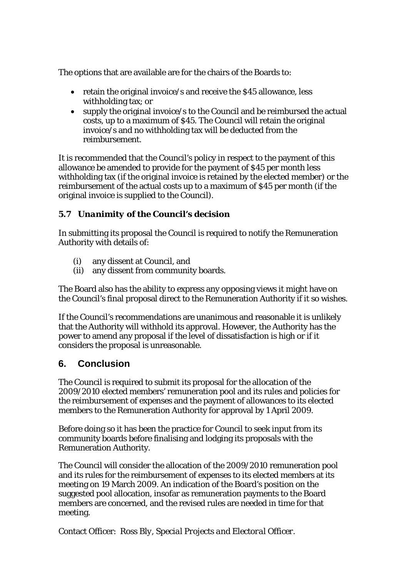The options that are available are for the chairs of the Boards to:

- retain the original invoice/s and receive the \$45 allowance, less withholding tax; or
- supply the original invoice/s to the Council and be reimbursed the actual costs, up to a maximum of \$45. The Council will retain the original invoice/s and no withholding tax will be deducted from the reimbursement.

It is recommended that the Council's policy in respect to the payment of this allowance be amended to provide for the payment of \$45 per month less withholding tax (if the original invoice is retained by the elected member) or the reimbursement of the actual costs up to a maximum of \$45 per month (if the original invoice is supplied to the Council).

# *5.7 Unanimity of the Council's decision*

In submitting its proposal the Council is required to notify the Remuneration Authority with details of:

- (i) any dissent at Council, and
- (ii) any dissent from community boards.

The Board also has the ability to express any opposing views it might have on the Council's final proposal direct to the Remuneration Authority if it so wishes.

If the Council's recommendations are unanimous and reasonable it is unlikely that the Authority will withhold its approval. However, the Authority has the power to amend any proposal if the level of dissatisfaction is high or if it considers the proposal is unreasonable.

# **6. Conclusion**

The Council is required to submit its proposal for the allocation of the 2009/2010 elected members' remuneration pool and its rules and policies for the reimbursement of expenses and the payment of allowances to its elected members to the Remuneration Authority for approval by 1 April 2009.

Before doing so it has been the practice for Council to seek input from its community boards before finalising and lodging its proposals with the Remuneration Authority.

The Council will consider the allocation of the 2009/2010 remuneration pool and its rules for the reimbursement of expenses to its elected members at its meeting on 19 March 2009. An indication of the Board's position on the suggested pool allocation, insofar as remuneration payments to the Board members are concerned, and the revised rules are needed in time for that meeting.

Contact Officer: *Ross Bly, Special Projects and Electoral Officer.*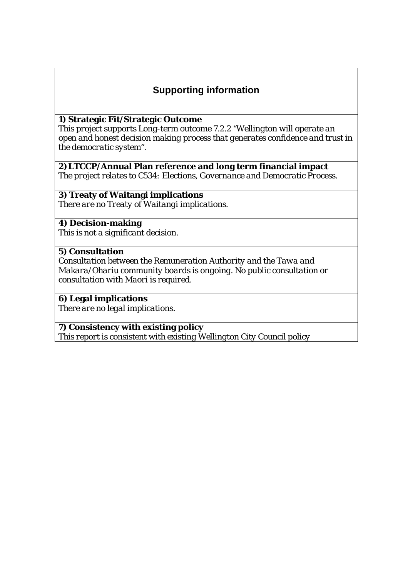# **Supporting information**

#### **1) Strategic Fit/Strategic Outcome**

*This project supports Long-term outcome 7.2.2 "Wellington will operate an open and honest decision making process that generates confidence and trust in the democratic system".*

#### **2)LTCCP/Annual Plan reference and long term financial impact**

*The project relates to C534: Elections, Governance and Democratic Process.*

## **3) Treaty of Waitangi implications**

*There are no Treaty of Waitangi implications.* 

#### **4) Decision-making**

*This is not a significant decision.* 

#### **5) Consultation**

*Consultation between the Remuneration Authority and the Tawa and Makara/Ohariu community boards is ongoing. No public consultation or consultation with Maori is required.*

### **6) Legal implications**

*There are no legal implications.*

#### **7) Consistency with existing policy**

*This report is consistent with existing Wellington City Council policy*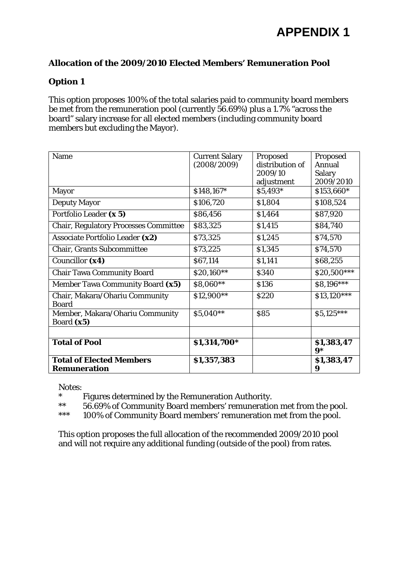## **Option 1**

This option proposes 100% of the total salaries paid to community board members be met from the remuneration pool (currently 56.69%) plus a 1.7% "across the board" salary increase for all elected members (including community board members but excluding the Mayor).

| Name                                                   | <b>Current Salary</b><br>(2008/2009) | Proposed<br>distribution of<br>2009/10<br>adjustment | Proposed<br><b>Annual</b><br><b>Salary</b><br>2009/2010 |
|--------------------------------------------------------|--------------------------------------|------------------------------------------------------|---------------------------------------------------------|
| <b>Mayor</b>                                           | \$148,167*                           | \$5,493*                                             | \$153,660*                                              |
| <b>Deputy Mayor</b>                                    | \$106,720                            | \$1,804                                              | \$108,524                                               |
| Portfolio Leader (x 5)                                 | \$86,456                             | \$1,464                                              | \$87,920                                                |
| <b>Chair, Regulatory Processes Committee</b>           | \$83,325                             | \$1,415                                              | \$84,740                                                |
| Associate Portfolio Leader (x2)                        | \$73,325                             | \$1,245                                              | \$74,570                                                |
| <b>Chair, Grants Subcommittee</b>                      | \$73,225                             | \$1,345                                              | \$74,570                                                |
| Councillor (x4)                                        | \$67,114                             | \$1,141                                              | \$68,255                                                |
| <b>Chair Tawa Community Board</b>                      | \$20,160**                           | \$340                                                | $$20,500***$                                            |
| Member Tawa Community Board (x5)                       | \$8,060**                            | \$136                                                | \$8,196***                                              |
| Chair, Makara/Ohariu Community<br><b>Board</b>         | \$12,900**                           | \$220                                                | \$13,120***                                             |
| Member, Makara/Ohariu Community<br>Board (x5)          | \$5,040**                            | \$85                                                 | \$5,125***                                              |
|                                                        |                                      |                                                      |                                                         |
| <b>Total of Pool</b>                                   | \$1,314,700*                         |                                                      | \$1,383,47<br>$9*$                                      |
| <b>Total of Elected Members</b><br><b>Remuneration</b> | \$1,357,383                          |                                                      | \$1,383,47<br>9                                         |

Notes:

\* Figures determined by the Remuneration Authority.<br>\*\* 56.69% of Community Board members' remuneration

56.69% of Community Board members' remuneration met from the pool.

\*\*\* 100% of Community Board members' remuneration met from the pool.

This option proposes the full allocation of the recommended 2009/2010 pool and will not require any additional funding (outside of the pool) from rates.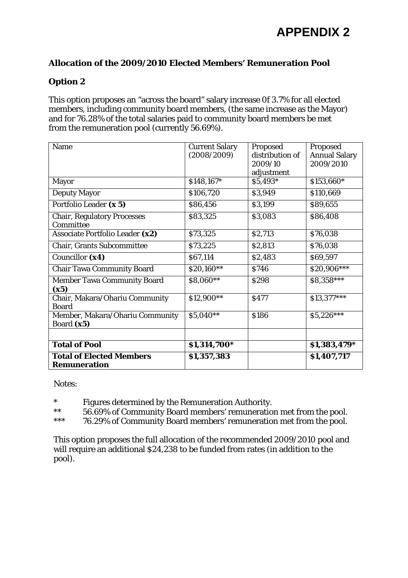### **Option 2**

This option proposes an "across the board" salary increase 0f 3.7% for all elected members, including community board members, (the same increase as the Mayor) and for 76.28% of the total salaries paid to community board members be met from the remuneration pool (currently 56.69%).

| Name                                            | <b>Current Salary</b><br>(2008/2009) | Proposed<br>distribution of<br>2009/10 | Proposed<br><b>Annual Salary</b><br>2009/2010 |
|-------------------------------------------------|--------------------------------------|----------------------------------------|-----------------------------------------------|
| <b>Mayor</b>                                    | \$148,167*                           | adjustment<br>\$5,493*                 | \$153,660*                                    |
|                                                 |                                      |                                        |                                               |
| <b>Deputy Mayor</b>                             | \$106,720                            | \$3,949                                | \$110,669                                     |
| Portfolio Leader (x 5)                          | \$86,456                             | \$3,199                                | \$89,655                                      |
| <b>Chair, Regulatory Processes</b><br>Committee | \$83,325                             | \$3,083                                | \$86,408                                      |
| Associate Portfolio Leader (x2)                 | \$73,325                             | \$2,713                                | \$76,038                                      |
| <b>Chair, Grants Subcommittee</b>               | \$73,225                             | \$2,813                                | \$76,038                                      |
| Councillor (x4)                                 | \$67,114                             | \$2,483                                | \$69,597                                      |
| <b>Chair Tawa Community Board</b>               | \$20,160**                           | \$746                                  | \$20,906***                                   |
| <b>Member Tawa Community Board</b>              | \$8,060**                            | \$298                                  | \$8,358***                                    |
| (x5)                                            |                                      |                                        |                                               |
| Chair, Makara/Ohariu Community                  | \$12,900**                           | <b>S477</b>                            | $$13,377***$                                  |
| <b>Board</b>                                    |                                      |                                        |                                               |
| Member, Makara/Ohariu Community                 | \$5,040**                            | \$186                                  | $$5,226***$                                   |
| Board (x5)                                      |                                      |                                        |                                               |
|                                                 |                                      |                                        |                                               |
| <b>Total of Pool</b>                            | \$1,314,700*                         |                                        | \$1,383,479*                                  |
| <b>Total of Elected Members</b>                 | \$1,357,383                          |                                        | \$1,407,717                                   |
| <b>Remuneration</b>                             |                                      |                                        |                                               |

Notes:

\*<br>Figures determined by the Remuneration Authority.<br>56.69% of Community Board members' remuneration

\*\* 56.69% of Community Board members' remuneration met from the pool.

\*\*\* 76.29% of Community Board members' remuneration met from the pool.

This option proposes the full allocation of the recommended 2009/2010 pool and will require an additional \$24,238 to be funded from rates (in addition to the pool).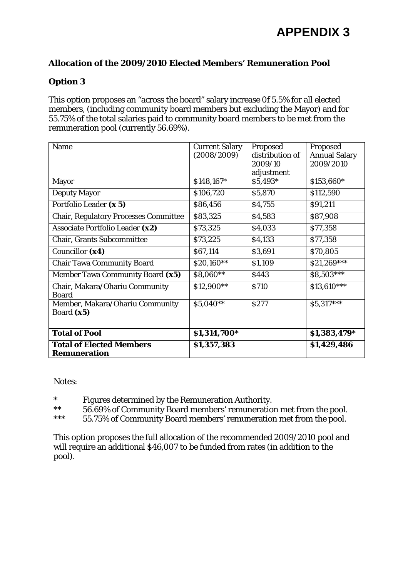## **Option 3**

This option proposes an "across the board" salary increase 0f 5.5% for all elected members, (including community board members but excluding the Mayor) and for 55.75% of the total salaries paid to community board members to be met from the remuneration pool (currently 56.69%).

| Name                                                   | <b>Current Salary</b> | Proposed        | Proposed             |
|--------------------------------------------------------|-----------------------|-----------------|----------------------|
|                                                        | (2008/2009)           | distribution of | <b>Annual Salary</b> |
|                                                        |                       | 2009/10         | 2009/2010            |
|                                                        |                       | adjustment      |                      |
| <b>Mayor</b>                                           | \$148,167*            | \$5,493*        | \$153,660*           |
| <b>Deputy Mayor</b>                                    | \$106,720             | \$5,870         | \$112,590            |
| Portfolio Leader (x 5)                                 | \$86,456              | \$4,755         | \$91,211             |
| <b>Chair, Regulatory Processes Committee</b>           | \$83,325              | \$4,583         | \$87,908             |
| Associate Portfolio Leader (x2)                        | \$73,325              | \$4,033         | \$77,358             |
| <b>Chair, Grants Subcommittee</b>                      | \$73,225              | \$4,133         | \$77,358             |
| Councillor (x4)                                        | \$67,114              | \$3,691         | \$70,805             |
| <b>Chair Tawa Community Board</b>                      | \$20,160**            | \$1,109         | \$21,269***          |
| Member Tawa Community Board (x5)                       | \$8,060**             | \$443           | \$8,503***           |
| Chair, Makara/Ohariu Community                         | \$12,900**            | <b>\$710</b>    | $$13,610***$         |
| <b>Board</b>                                           |                       |                 |                      |
| Member, Makara/Ohariu Community                        | \$5,040**             | <b>S277</b>     | \$5,317***           |
| Board (x5)                                             |                       |                 |                      |
|                                                        |                       |                 |                      |
| <b>Total of Pool</b>                                   | \$1,314,700*          |                 | \$1,383,479*         |
| <b>Total of Elected Members</b><br><b>Remuneration</b> | \$1,357,383           |                 | \$1,429,486          |

Notes:

- \* Figures determined by the Remuneration Authority.
- \*\* 56.69% of Community Board members' remuneration met from the pool.<br>\*\*\* 55.75% of Community Board members' remuneration met from the pool.
- 55.75% of Community Board members' remuneration met from the pool.

This option proposes the full allocation of the recommended 2009/2010 pool and will require an additional \$46,007 to be funded from rates (in addition to the pool).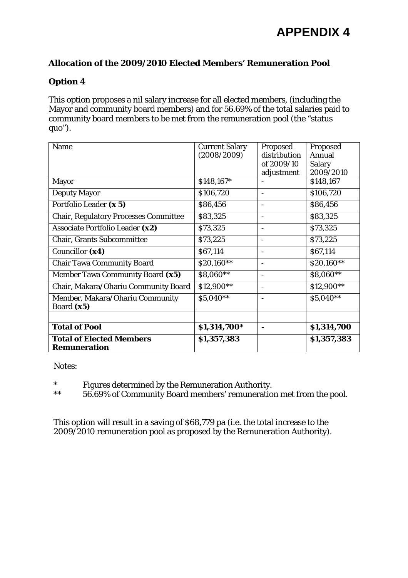## **Option 4**

This option proposes a nil salary increase for all elected members, (including the Mayor and community board members) and for 56.69% of the total salaries paid to community board members to be met from the remuneration pool (the "status quo").

| Name                                         | <b>Current Salary</b> | Proposed                 | Proposed      |
|----------------------------------------------|-----------------------|--------------------------|---------------|
|                                              | (2008/2009)           | distribution             | Annual        |
|                                              |                       | of 2009/10               | <b>Salary</b> |
|                                              |                       | adjustment               | 2009/2010     |
| <b>Mayor</b>                                 | \$148,167*            |                          | \$148,167     |
| <b>Deputy Mayor</b>                          | \$106,720             | $\overline{\phantom{a}}$ | \$106,720     |
| Portfolio Leader (x 5)                       | \$86,456              | $\overline{\phantom{a}}$ | \$86,456      |
| <b>Chair, Regulatory Processes Committee</b> | \$83,325              |                          | \$83,325      |
| Associate Portfolio Leader (x2)              | \$73,325              |                          | \$73,325      |
| <b>Chair, Grants Subcommittee</b>            | \$73,225              |                          | \$73,225      |
| Councillor (x4)                              | \$67,114              |                          | \$67,114      |
| <b>Chair Tawa Community Board</b>            | \$20,160**            |                          | \$20,160**    |
| Member Tawa Community Board (x5)             | \$8,060**             | $\qquad \qquad -$        | \$8,060**     |
| Chair, Makara/Ohariu Community Board         | \$12,900**            | $\qquad \qquad -$        | \$12,900**    |
| Member, Makara/Ohariu Community              | \$5,040**             |                          | \$5,040**     |
| Board (x5)                                   |                       |                          |               |
|                                              |                       |                          |               |
| <b>Total of Pool</b>                         | \$1,314,700*          |                          | \$1,314,700   |
| <b>Total of Elected Members</b>              | \$1,357,383           |                          | \$1,357,383   |
| <b>Remuneration</b>                          |                       |                          |               |

Notes:

- \* Figures determined by the Remuneration Authority.
- \*\* 56.69% of Community Board members' remuneration met from the pool.

This option will result in a saving of \$68,779 pa (i.e. the total increase to the 2009/2010 remuneration pool as proposed by the Remuneration Authority).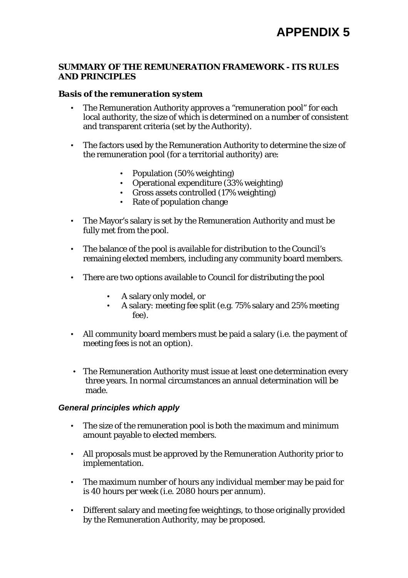#### **SUMMARY OF THE REMUNERATION FRAMEWORK - ITS RULES AND PRINCIPLES**

#### *Basis of the remuneration system*

- The Remuneration Authority approves a "remuneration pool" for each local authority, the size of which is determined on a number of consistent and transparent criteria (set by the Authority).
- The factors used by the Remuneration Authority to determine the size of the remuneration pool (for a territorial authority) are:
	- Population (50% weighting)
	- Operational expenditure (33% weighting)
	- Gross assets controlled (17% weighting)
	- Rate of population change
- The Mayor's salary is set by the Remuneration Authority and must be fully met from the pool.
- The balance of the pool is available for distribution to the Council's remaining elected members, including any community board members.
- There are two options available to Council for distributing the pool
	- A salary only model, or
	- A salary: meeting fee split (e.g. 75% salary and 25% meeting fee).
- All community board members must be paid a salary (i.e. the payment of meeting fees is not an option).
- The Remuneration Authority must issue at least one determination every three years. In normal circumstances an annual determination will be made.

#### *General principles which apply*

- The size of the remuneration pool is both the maximum and minimum amount payable to elected members.
- All proposals must be approved by the Remuneration Authority prior to implementation.
- The maximum number of hours any individual member may be paid for is 40 hours per week (i.e. 2080 hours per annum).
- Different salary and meeting fee weightings, to those originally provided by the Remuneration Authority, may be proposed.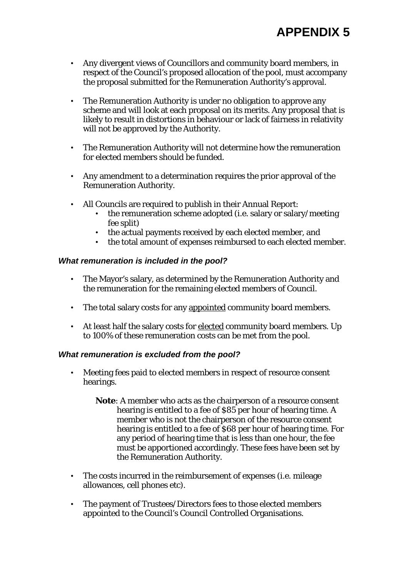- Any divergent views of Councillors and community board members, in respect of the Council's proposed allocation of the pool, must accompany the proposal submitted for the Remuneration Authority's approval.
- The Remuneration Authority is under no obligation to approve any scheme and will look at each proposal on its merits. Any proposal that is likely to result in distortions in behaviour or lack of fairness in relativity will not be approved by the Authority.
- The Remuneration Authority will not determine how the remuneration for elected members should be funded.
- Any amendment to a determination requires the prior approval of the Remuneration Authority.
- All Councils are required to publish in their Annual Report:
	- the remuneration scheme adopted (i.e. salary or salary/meeting fee split)
	- the actual payments received by each elected member, and
	- the total amount of expenses reimbursed to each elected member.

#### *What remuneration is included in the pool?*

- The Mayor's salary, as determined by the Remuneration Authority and the remuneration for the remaining elected members of Council.
- The total salary costs for any appointed community board members.
- At least half the salary costs for elected community board members. Up to 100% of these remuneration costs can be met from the pool.

#### *What remuneration is excluded from the pool?*

- Meeting fees paid to elected members in respect of resource consent hearings.
	- **Note**: A member who acts as the chairperson of a resource consent hearing is entitled to a fee of \$85 per hour of hearing time. A member who is not the chairperson of the resource consent hearing is entitled to a fee of \$68 per hour of hearing time. For any period of hearing time that is less than one hour, the fee must be apportioned accordingly. These fees have been set by the Remuneration Authority.
- The costs incurred in the reimbursement of expenses (i.e. mileage allowances, cell phones etc).
- The payment of Trustees/Directors fees to those elected members appointed to the Council's Council Controlled Organisations.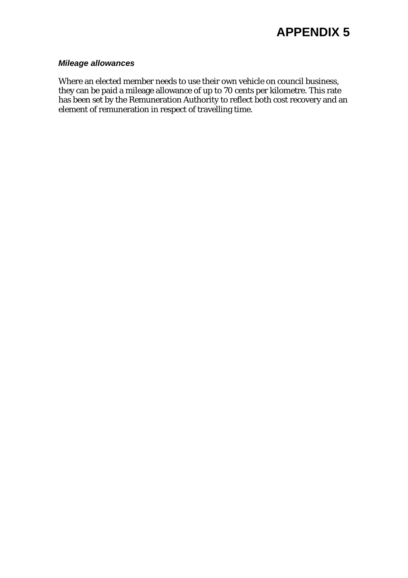#### *Mileage allowances*

Where an elected member needs to use their own vehicle on council business, they can be paid a mileage allowance of up to 70 cents per kilometre. This rate has been set by the Remuneration Authority to reflect both cost recovery and an element of remuneration in respect of travelling time.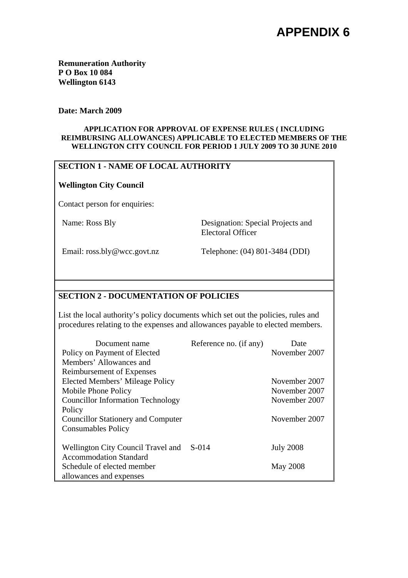**Remuneration Authority P O Box 10 084 Wellington 6143** 

#### **Date: March 2009**

#### **APPLICATION FOR APPROVAL OF EXPENSE RULES ( INCLUDING REIMBURSING ALLOWANCES) APPLICABLE TO ELECTED MEMBERS OF THE WELLINGTON CITY COUNCIL FOR PERIOD 1 JULY 2009 TO 30 JUNE 2010**

#### **SECTION 1 - NAME OF LOCAL AUTHORITY**

#### **Wellington City Council**

Contact person for enquiries:

Name: Ross Bly Designation: Special Projects and Electoral Officer

Email: ross.bly@wcc.govt.nz Telephone: (04) 801-3484 (DDI)

#### **SECTION 2 - DOCUMENTATION OF POLICIES**

List the local authority's policy documents which set out the policies, rules and procedures relating to the expenses and allowances payable to elected members.

| Document name                             | Reference no. (if any) | Date             |
|-------------------------------------------|------------------------|------------------|
| Policy on Payment of Elected              |                        | November 2007    |
| Members' Allowances and                   |                        |                  |
| Reimbursement of Expenses                 |                        |                  |
| Elected Members' Mileage Policy           |                        | November 2007    |
| Mobile Phone Policy                       |                        | November 2007    |
| <b>Councillor Information Technology</b>  |                        | November 2007    |
| Policy                                    |                        |                  |
| <b>Councillor Stationery and Computer</b> |                        | November 2007    |
| <b>Consumables Policy</b>                 |                        |                  |
|                                           |                        |                  |
| Wellington City Council Travel and        | S-014                  | <b>July 2008</b> |
| <b>Accommodation Standard</b>             |                        |                  |
| Schedule of elected member                |                        | <b>May 2008</b>  |
| allowances and expenses                   |                        |                  |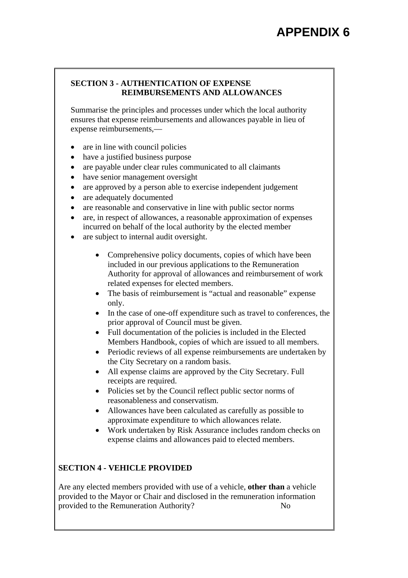#### **SECTION 3 - AUTHENTICATION OF EXPENSE REIMBURSEMENTS AND ALLOWANCES**

Summarise the principles and processes under which the local authority ensures that expense reimbursements and allowances payable in lieu of expense reimbursements,—

- are in line with council policies
- have a justified business purpose
- are payable under clear rules communicated to all claimants
- have senior management oversight
- are approved by a person able to exercise independent judgement
- are adequately documented
- are reasonable and conservative in line with public sector norms
- are, in respect of allowances, a reasonable approximation of expenses incurred on behalf of the local authority by the elected member
- are subject to internal audit oversight.
	- Comprehensive policy documents, copies of which have been included in our previous applications to the Remuneration Authority for approval of allowances and reimbursement of work related expenses for elected members.
	- The basis of reimbursement is "actual and reasonable" expense only.
	- In the case of one-off expenditure such as travel to conferences, the prior approval of Council must be given.
	- Full documentation of the policies is included in the Elected Members Handbook, copies of which are issued to all members.
	- Periodic reviews of all expense reimbursements are undertaken by the City Secretary on a random basis.
	- All expense claims are approved by the City Secretary. Full receipts are required.
	- Policies set by the Council reflect public sector norms of reasonableness and conservatism.
	- Allowances have been calculated as carefully as possible to approximate expenditure to which allowances relate.
	- Work undertaken by Risk Assurance includes random checks on expense claims and allowances paid to elected members.

# **SECTION 4 - VEHICLE PROVIDED**

Are any elected members provided with use of a vehicle, **other than** a vehicle provided to the Mayor or Chair and disclosed in the remuneration information provided to the Remuneration Authority? No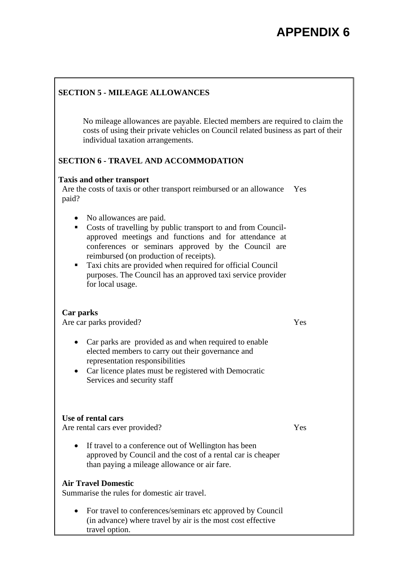## **SECTION 5 - MILEAGE ALLOWANCES**

No mileage allowances are payable. Elected members are required to claim the costs of using their private vehicles on Council related business as part of their individual taxation arrangements.

### **SECTION 6 - TRAVEL AND ACCOMMODATION**

#### **Taxis and other transport**

Are the costs of taxis or other transport reimbursed or an allowance Yes paid?

- No allowances are paid.
- Costs of travelling by public transport to and from Councilapproved meetings and functions and for attendance at conferences or seminars approved by the Council are reimbursed (on production of receipts).
- Taxi chits are provided when required for official Council purposes. The Council has an approved taxi service provider for local usage.

#### **Car parks**

Are car parks provided?

- Car parks are provided as and when required to enable elected members to carry out their governance and representation responsibilities
- Car licence plates must be registered with Democratic Services and security staff

#### **Use of rental cars**

Are rental cars ever provided?

• If travel to a conference out of Wellington has been approved by Council and the cost of a rental car is cheaper than paying a mileage allowance or air fare.

#### **Air Travel Domestic**

Summarise the rules for domestic air travel.

• For travel to conferences/seminars etc approved by Council (in advance) where travel by air is the most cost effective travel option.

Yes

Yes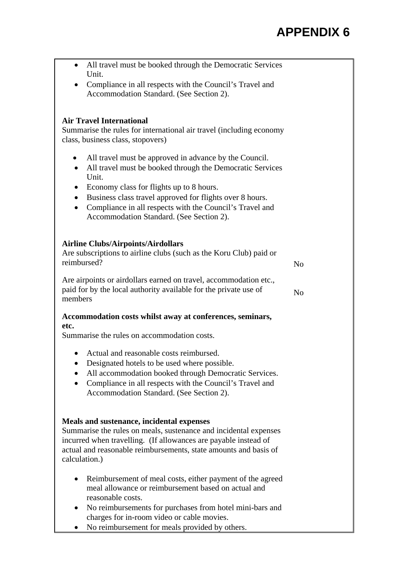| All travel must be booked through the Democratic Services<br>Unit.                                                                                                                                                                                                    |                |
|-----------------------------------------------------------------------------------------------------------------------------------------------------------------------------------------------------------------------------------------------------------------------|----------------|
| Compliance in all respects with the Council's Travel and<br>Accommodation Standard. (See Section 2).                                                                                                                                                                  |                |
|                                                                                                                                                                                                                                                                       |                |
| <b>Air Travel International</b><br>Summarise the rules for international air travel (including economy<br>class, business class, stopovers)                                                                                                                           |                |
| All travel must be approved in advance by the Council.<br>$\bullet$<br>All travel must be booked through the Democratic Services<br>Unit.                                                                                                                             |                |
| Economy class for flights up to 8 hours.<br>Business class travel approved for flights over 8 hours.<br>$\bullet$<br>Compliance in all respects with the Council's Travel and<br>$\bullet$<br>Accommodation Standard. (See Section 2).                                |                |
| <b>Airline Clubs/Airpoints/Airdollars</b><br>Are subscriptions to airline clubs (such as the Koru Club) paid or<br>reimbursed?                                                                                                                                        | No             |
| Are airpoints or airdollars earned on travel, accommodation etc.,<br>paid for by the local authority available for the private use of<br>members                                                                                                                      | N <sub>0</sub> |
| Accommodation costs whilst away at conferences, seminars,                                                                                                                                                                                                             |                |
| etc.<br>Summarise the rules on accommodation costs.                                                                                                                                                                                                                   |                |
| Actual and reasonable costs reimbursed.<br>Designated hotels to be used where possible.<br>$\bullet$<br>All accommodation booked through Democratic Services.<br>Compliance in all respects with the Council's Travel and<br>Accommodation Standard. (See Section 2). |                |
| Meals and sustenance, incidental expenses<br>Summarise the rules on meals, sustenance and incidental expenses<br>incurred when travelling. (If allowances are payable instead of<br>actual and reasonable reimbursements, state amounts and basis of<br>calculation.) |                |
| Reimbursement of meal costs, either payment of the agreed<br>meal allowance or reimbursement based on actual and<br>reasonable costs.                                                                                                                                 |                |
| No reimbursements for purchases from hotel mini-bars and<br>charges for in-room video or cable movies.                                                                                                                                                                |                |
| No reimbursement for meals provided by others.                                                                                                                                                                                                                        |                |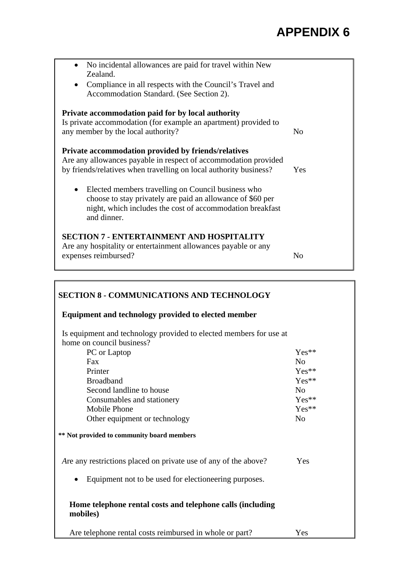| No incidental allowances are paid for travel within New<br>$\bullet$<br>Zealand.<br>Compliance in all respects with the Council's Travel and<br>Accommodation Standard. (See Section 2).                  |                |
|-----------------------------------------------------------------------------------------------------------------------------------------------------------------------------------------------------------|----------------|
| Private accommodation paid for by local authority<br>Is private accommodation (for example an apartment) provided to<br>any member by the local authority?                                                | N <sub>0</sub> |
| <b>Private accommodation provided by friends/relatives</b><br>Are any allowances payable in respect of accommodation provided<br>by friends/relatives when travelling on local authority business?        | Yes            |
| Elected members travelling on Council business who<br>$\bullet$<br>choose to stay privately are paid an allowance of \$60 per<br>night, which includes the cost of accommodation breakfast<br>and dinner. |                |
| <b>SECTION 7 - ENTERTAINMENT AND HOSPITALITY</b><br>Are any hospitality or entertainment allowances payable or any<br>expenses reimbursed?                                                                | No             |

# **SECTION 8 - COMMUNICATIONS AND TECHNOLOGY Equipment and technology provided to elected member**  Is equipment and technology provided to elected members for use at home on council business? PC or Laptop Yes\*\* Fax No Printer  $Yes^{**}$ Broadband Yes\*\* Second landline to house No Consumables and stationery Yes\*\* Mobile Phone Yes\*\* Other equipment or technology No **\*\* Not provided to community board members**  Are any restrictions placed on private use of any of the above? Yes • Equipment not to be used for electioneering purposes. **Home telephone rental costs and telephone calls (including mobiles)**  Are telephone rental costs reimbursed in whole or part? Yes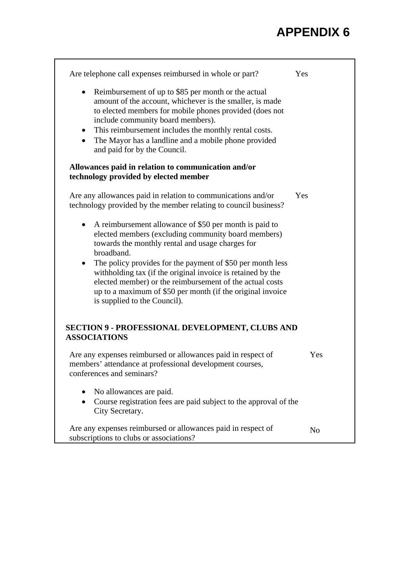| Are telephone call expenses reimbursed in whole or part?                                                                                                                                                                                                                                                                                                                                        | Yes            |
|-------------------------------------------------------------------------------------------------------------------------------------------------------------------------------------------------------------------------------------------------------------------------------------------------------------------------------------------------------------------------------------------------|----------------|
| Reimbursement of up to \$85 per month or the actual<br>$\bullet$<br>amount of the account, whichever is the smaller, is made<br>to elected members for mobile phones provided (does not<br>include community board members).<br>This reimbursement includes the monthly rental costs.<br>$\bullet$<br>The Mayor has a landline and a mobile phone provided<br>٠<br>and paid for by the Council. |                |
| Allowances paid in relation to communication and/or<br>technology provided by elected member                                                                                                                                                                                                                                                                                                    |                |
| Are any allowances paid in relation to communications and/or<br>technology provided by the member relating to council business?                                                                                                                                                                                                                                                                 | Yes            |
| A reimbursement allowance of \$50 per month is paid to<br>$\bullet$<br>elected members (excluding community board members)<br>towards the monthly rental and usage charges for<br>broadband.                                                                                                                                                                                                    |                |
| The policy provides for the payment of \$50 per month less<br>$\bullet$<br>withholding tax (if the original invoice is retained by the<br>elected member) or the reimbursement of the actual costs<br>up to a maximum of \$50 per month (if the original invoice<br>is supplied to the Council).                                                                                                |                |
| <b>SECTION 9 - PROFESSIONAL DEVELOPMENT, CLUBS AND</b><br><b>ASSOCIATIONS</b>                                                                                                                                                                                                                                                                                                                   |                |
| Are any expenses reimbursed or allowances paid in respect of<br>members' attendance at professional development courses,<br>conferences and seminars?                                                                                                                                                                                                                                           | Yes            |
| No allowances are paid.<br>Course registration fees are paid subject to the approval of the<br>٠<br>City Secretary.                                                                                                                                                                                                                                                                             |                |
| Are any expenses reimbursed or allowances paid in respect of<br>subscriptions to clubs or associations?                                                                                                                                                                                                                                                                                         | N <sub>o</sub> |